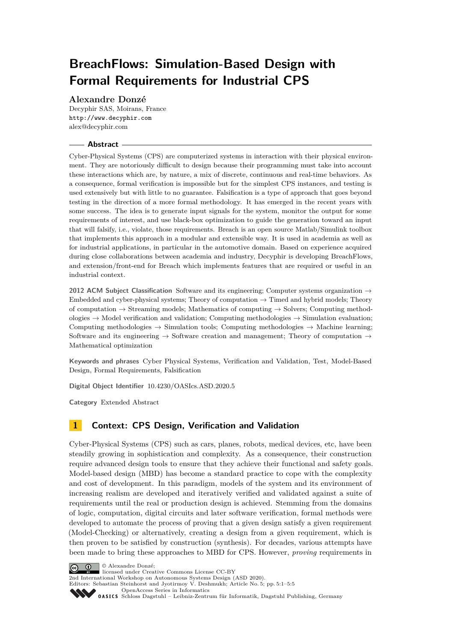# **BreachFlows: Simulation-Based Design with Formal Requirements for Industrial CPS**

## **Alexandre Donzé**

Decyphir SAS, Moirans, France <http://www.decyphir.com> [alex@decyphir.com](mailto:alex@decyphir.com)

## **Abstract**

Cyber-Physical Systems (CPS) are computerized systems in interaction with their physical environment. They are notoriously difficult to design because their programming must take into account these interactions which are, by nature, a mix of discrete, continuous and real-time behaviors. As a consequence, formal verification is impossible but for the simplest CPS instances, and testing is used extensively but with little to no guarantee. Falsification is a type of approach that goes beyond testing in the direction of a more formal methodology. It has emerged in the recent years with some success. The idea is to generate input signals for the system, monitor the output for some requirements of interest, and use black-box optimization to guide the generation toward an input that will falsify, i.e., violate, those requirements. Breach is an open source Matlab/Simulink toolbox that implements this approach in a modular and extensible way. It is used in academia as well as for industrial applications, in particular in the automotive domain. Based on experience acquired during close collaborations between academia and industry, Decyphir is developing BreachFlows, and extension/front-end for Breach which implements features that are required or useful in an industrial context.

**2012 ACM Subject Classification** Software and its engineering; Computer systems organization → Embedded and cyber-physical systems; Theory of computation  $\rightarrow$  Timed and hybrid models; Theory of computation  $\rightarrow$  Streaming models; Mathematics of computing  $\rightarrow$  Solvers; Computing methodologies  $\rightarrow$  Model verification and validation; Computing methodologies  $\rightarrow$  Simulation evaluation; Computing methodologies  $\rightarrow$  Simulation tools; Computing methodologies  $\rightarrow$  Machine learning; Software and its engineering  $\rightarrow$  Software creation and management; Theory of computation  $\rightarrow$ Mathematical optimization

**Keywords and phrases** Cyber Physical Systems, Verification and Validation, Test, Model-Based Design, Formal Requirements, Falsification

**Digital Object Identifier** [10.4230/OASIcs.ASD.2020.5](https://doi.org/10.4230/OASIcs.ASD.2020.5)

**Category** Extended Abstract

## **1 Context: CPS Design, Verification and Validation**

Cyber-Physical Systems (CPS) such as cars, planes, robots, medical devices, etc, have been steadily growing in sophistication and complexity. As a consequence, their construction require advanced design tools to ensure that they achieve their functional and safety goals. Model-based design (MBD) has become a standard practice to cope with the complexity and cost of development. In this paradigm, models of the system and its environment of increasing realism are developed and iteratively verified and validated against a suite of requirements until the real or production design is achieved. Stemming from the domains of logic, computation, digital circuits and later software verification, formal methods were developed to automate the process of proving that a given design satisfy a given requirement (Model-Checking) or alternatively, creating a design from a given requirement, which is then proven to be satisfied by construction (synthesis). For decades, various attempts have been made to bring these approaches to MBD for CPS. However, *proving* requirements in



licensed under Creative Commons License CC-BY

2nd International Workshop on Autonomous Systems Design (ASD 2020). Editors: Sebastian Steinhorst and Jyotirmoy V. Deshmukh; Article No. 5; pp. 5:1–5[:5](#page-4-0)

[OpenAccess Series in Informatics](https://www.dagstuhl.de/oasics/)

[Schloss Dagstuhl – Leibniz-Zentrum für Informatik, Dagstuhl Publishing, Germany](https://www.dagstuhl.de)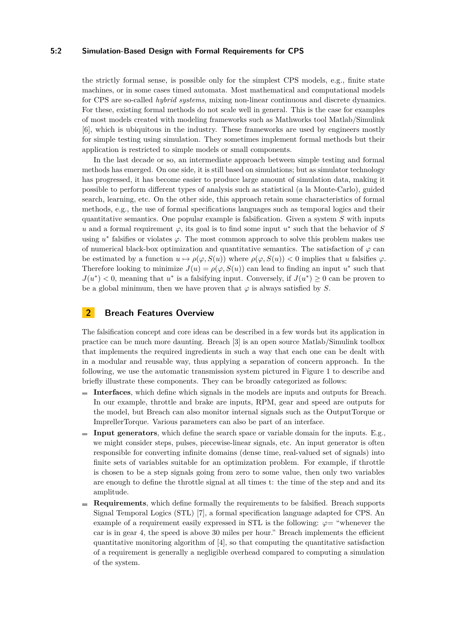### **5:2 Simulation-Based Design with Formal Requirements for CPS**

the strictly formal sense, is possible only for the simplest CPS models, e.g., finite state machines, or in some cases timed automata. Most mathematical and computational models for CPS are so-called *hybrid systems*, mixing non-linear continuous and discrete dynamics. For these, existing formal methods do not scale well in general. This is the case for examples of most models created with modeling frameworks such as Mathworks tool Matlab/Simulink [\[6\]](#page-4-1), which is ubiquitous in the industry. These frameworks are used by engineers mostly for simple testing using simulation. They sometimes implement formal methods but their application is restricted to simple models or small components.

In the last decade or so, an intermediate approach between simple testing and formal methods has emerged. On one side, it is still based on simulations; but as simulator technology has progressed, it has become easier to produce large amount of simulation data, making it possible to perform different types of analysis such as statistical (a la Monte-Carlo), guided search, learning, etc. On the other side, this approach retain some characteristics of formal methods, e.g., the use of formal specifications languages such as temporal logics and their quantitative semantics. One popular example is falsification. Given a system *S* with inputs *u* and a formal requirement  $\varphi$ , its goal is to find some input  $u^*$  such that the behavior of *S* using  $u^*$  falsifies or violates  $\varphi$ . The most common approach to solve this problem makes use of numerical black-box optimization and quantitative semantics. The satisfaction of  $\varphi$  can be estimated by a function  $u \mapsto \rho(\varphi, S(u))$  where  $\rho(\varphi, S(u)) < 0$  implies that *u* falsifies  $\varphi$ . Therefore looking to minimize  $J(u) = \rho(\varphi, S(u))$  can lead to finding an input  $u^*$  such that  $J(u^*)$  < 0, meaning that  $u^*$  is a falsifying input. Conversely, if  $J(u^*) \geq 0$  can be proven to be a global minimum, then we have proven that  $\varphi$  is always satisfied by *S*.

## **2 Breach Features Overview**

The falsification concept and core ideas can be described in a few words but its application in practice can be much more daunting. Breach [\[3\]](#page-4-2) is an open source Matlab/Simulink toolbox that implements the required ingredients in such a way that each one can be dealt with in a modular and reusable way, thus applying a separation of concern approach. In the following, we use the automatic transmission system pictured in Figure [1](#page-2-0) to describe and briefly illustrate these components. They can be broadly categorized as follows:

- **Interfaces**, which define which signals in the models are inputs and outputs for Breach. In our example, throttle and brake are inputs, RPM, gear and speed are outputs for the model, but Breach can also monitor internal signals such as the OutputTorque or ImprellerTorque. Various parameters can also be part of an interface.
- **Input generators**, which define the search space or variable domain for the inputs. E.g., we might consider steps, pulses, piecewise-linear signals, etc. An input generator is often responsible for converting infinite domains (dense time, real-valued set of signals) into finite sets of variables suitable for an optimization problem. For example, if throttle is chosen to be a step signals going from zero to some value, then only two variables are enough to define the throttle signal at all times t: the time of the step and and its amplitude.
- **Requirements**, which define formally the requirements to be falsified. Breach supports Signal Temporal Logics (STL) [\[7\]](#page-4-3), a formal specification language adapted for CPS. An example of a requirement easily expressed in STL is the following:  $\varphi =$  "whenever the car is in gear 4, the speed is above 30 miles per hour." Breach implements the efficient quantitative monitoring algorithm of [\[4\]](#page-4-4), so that computing the quantitative satisfaction of a requirement is generally a negligible overhead compared to computing a simulation of the system.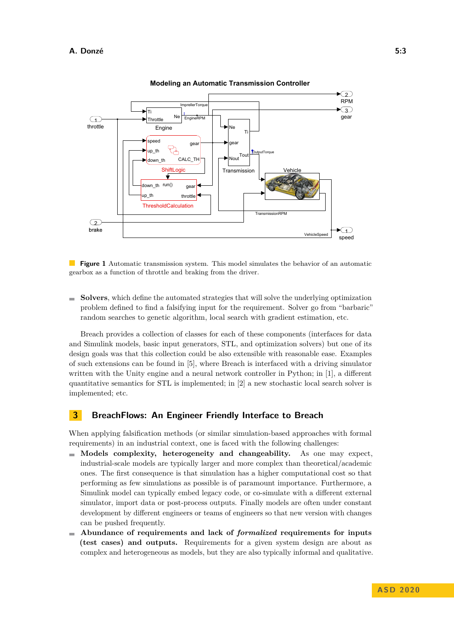<span id="page-2-0"></span>

**Modeling an Automatic Transmission Controller**

**Figure 1** Automatic transmission system. This model simulates the behavior of an automatic gearbox as a function of throttle and braking from the driver.

**Solvers**, which define the automated strategies that will solve the underlying optimization  $\rightarrow$ problem defined to find a falsifying input for the requirement. Solver go from "barbaric" random searches to genetic algorithm, local search with gradient estimation, etc.

Breach provides a collection of classes for each of these components (interfaces for data and Simulink models, basic input generators, STL, and optimization solvers) but one of its design goals was that this collection could be also extensible with reasonable ease. Examples of such extensions can be found in [\[5\]](#page-4-5), where Breach is interfaced with a driving simulator written with the Unity engine and a neural network controller in Python; in [\[1\]](#page-4-6), a different quantitative semantics for STL is implemented; in [\[2\]](#page-4-7) a new stochastic local search solver is implemented; etc.

## **3 BreachFlows: An Engineer Friendly Interface to Breach**

When applying falsification methods (or similar simulation-based approaches with formal requirements) in an industrial context, one is faced with the following challenges:

- **Models complexity, heterogeneity and changeability.** As one may expect, industrial-scale models are typically larger and more complex than theoretical/academic ones. The first consequence is that simulation has a higher computational cost so that performing as few simulations as possible is of paramount importance. Furthermore, a Simulink model can typically embed legacy code, or co-simulate with a different external simulator, import data or post-process outputs. Finally models are often under constant development by different engineers or teams of engineers so that new version with changes can be pushed frequently.
- **Abundance of requirements and lack of** *formalized* **requirements for inputs (test cases) and outputs.** Requirements for a given system design are about as complex and heterogeneous as models, but they are also typically informal and qualitative.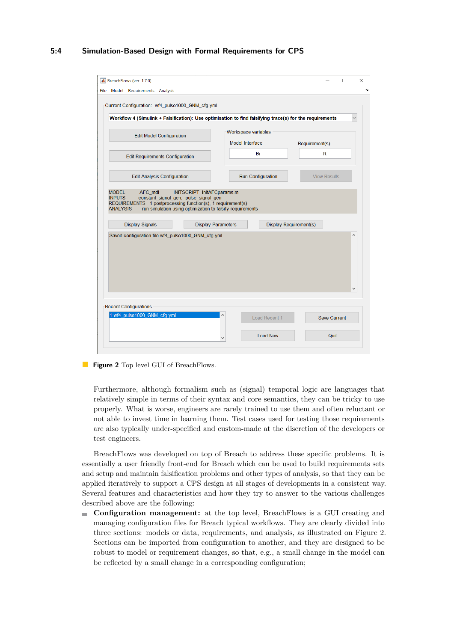## **5:4 Simulation-Based Design with Formal Requirements for CPS**

<span id="page-3-0"></span>

| File Model Requirements Analysis<br>Current Configuration: wf4 pulse1000 GNM cfg.yml<br>Workflow 4 (Simulink + Falsification): Use optimisation to find falsifying trace(s) for the requirements<br>Workspace variables<br><b>Edit Model Configuration</b><br>Model Interface<br>Requirement(s)<br>R<br>Br<br><b>Edit Requirements Configuration</b><br><b>Run Configuration</b><br><b>View Results</b><br><b>Edit Analysis Configuration</b><br>INITSCRIPT InitAFCparams.m<br><b>MODEL</b><br>AFC mdl<br><b>INPUTS</b><br>constant_signal_gen, pulse_signal_gen<br>REQUIREMENTS 1 postprocessing function(s), 1 requirement(s)<br>run simulation using optimization to falsify requirements<br><b>ANALYSIS</b><br><b>Display Signals</b><br><b>Display Requirement(s)</b><br><b>Display Parameters</b><br>Saved configuration file wf4_pulse1000_GNM_cfg.yml |                                          |
|---------------------------------------------------------------------------------------------------------------------------------------------------------------------------------------------------------------------------------------------------------------------------------------------------------------------------------------------------------------------------------------------------------------------------------------------------------------------------------------------------------------------------------------------------------------------------------------------------------------------------------------------------------------------------------------------------------------------------------------------------------------------------------------------------------------------------------------------------------------|------------------------------------------|
|                                                                                                                                                                                                                                                                                                                                                                                                                                                                                                                                                                                                                                                                                                                                                                                                                                                               |                                          |
|                                                                                                                                                                                                                                                                                                                                                                                                                                                                                                                                                                                                                                                                                                                                                                                                                                                               |                                          |
|                                                                                                                                                                                                                                                                                                                                                                                                                                                                                                                                                                                                                                                                                                                                                                                                                                                               |                                          |
|                                                                                                                                                                                                                                                                                                                                                                                                                                                                                                                                                                                                                                                                                                                                                                                                                                                               |                                          |
|                                                                                                                                                                                                                                                                                                                                                                                                                                                                                                                                                                                                                                                                                                                                                                                                                                                               |                                          |
|                                                                                                                                                                                                                                                                                                                                                                                                                                                                                                                                                                                                                                                                                                                                                                                                                                                               |                                          |
|                                                                                                                                                                                                                                                                                                                                                                                                                                                                                                                                                                                                                                                                                                                                                                                                                                                               |                                          |
|                                                                                                                                                                                                                                                                                                                                                                                                                                                                                                                                                                                                                                                                                                                                                                                                                                                               | $\overline{\phantom{0}}$<br>$\checkmark$ |
| <b>Recent Configurations</b><br>1:wf4 pulse1000 GNM cfg.yml                                                                                                                                                                                                                                                                                                                                                                                                                                                                                                                                                                                                                                                                                                                                                                                                   |                                          |
| Load Recent 1<br>Save Current<br><b>Load New</b><br>Quit                                                                                                                                                                                                                                                                                                                                                                                                                                                                                                                                                                                                                                                                                                                                                                                                      |                                          |

#### **Figure 2** Top level GUI of BreachFlows.

Furthermore, although formalism such as (signal) temporal logic are languages that relatively simple in terms of their syntax and core semantics, they can be tricky to use properly. What is worse, engineers are rarely trained to use them and often reluctant or not able to invest time in learning them. Test cases used for testing those requirements are also typically under-specified and custom-made at the discretion of the developers or test engineers.

BreachFlows was developed on top of Breach to address these specific problems. It is essentially a user friendly front-end for Breach which can be used to build requirements sets and setup and maintain falsification problems and other types of analysis, so that they can be applied iteratively to support a CPS design at all stages of developments in a consistent way. Several features and characteristics and how they try to answer to the various challenges described above are the following:

**Configuration management:** at the top level, BreachFlows is a GUI creating and  $\equiv$ managing configuration files for Breach typical workflows. They are clearly divided into three sections: models or data, requirements, and analysis, as illustrated on Figure [2.](#page-3-0) Sections can be imported from configuration to another, and they are designed to be robust to model or requirement changes, so that, e.g., a small change in the model can be reflected by a small change in a corresponding configuration;